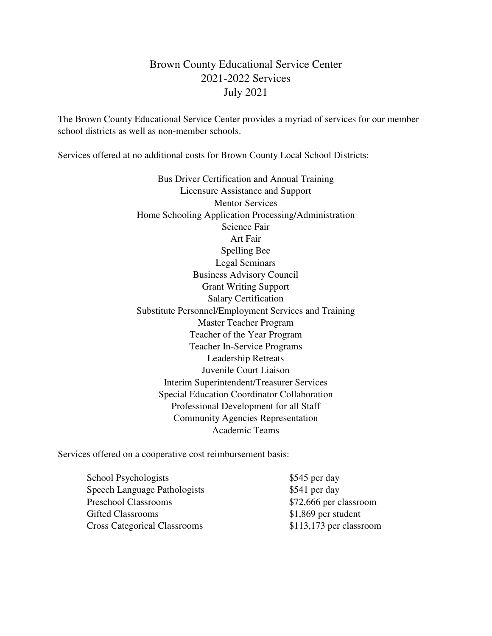## Brown County Educational Service Center 2021-2022 Services July 2021

The Brown County Educational Service Center provides a myriad of services for our member school districts as well as non-member schools.

Services offered at no additional costs for Brown County Local School Districts:

Bus Driver Certification and Annual Training Licensure Assistance and Support Mentor Services Home Schooling Application Processing/Administration Science Fair Art Fair Spelling Bee Legal Seminars Business Advisory Council Grant Writing Support Salary Certification Substitute Personnel/Employment Services and Training Master Teacher Program Teacher of the Year Program Teacher In-Service Programs Leadership Retreats Juvenile Court Liaison Interim Superintendent/Treasurer Services Special Education Coordinator Collaboration Professional Development for all Staff Community Agencies Representation Academic Teams

Services offered on a cooperative cost reimbursement basis:

School Psychologists  $$545$  per day Speech Language Pathologists \$541 per day Preschool Classrooms \$72,666 per classroom Gifted Classrooms  $$1,869$  per student Cross Categorical Classrooms \$113,173 per classroom